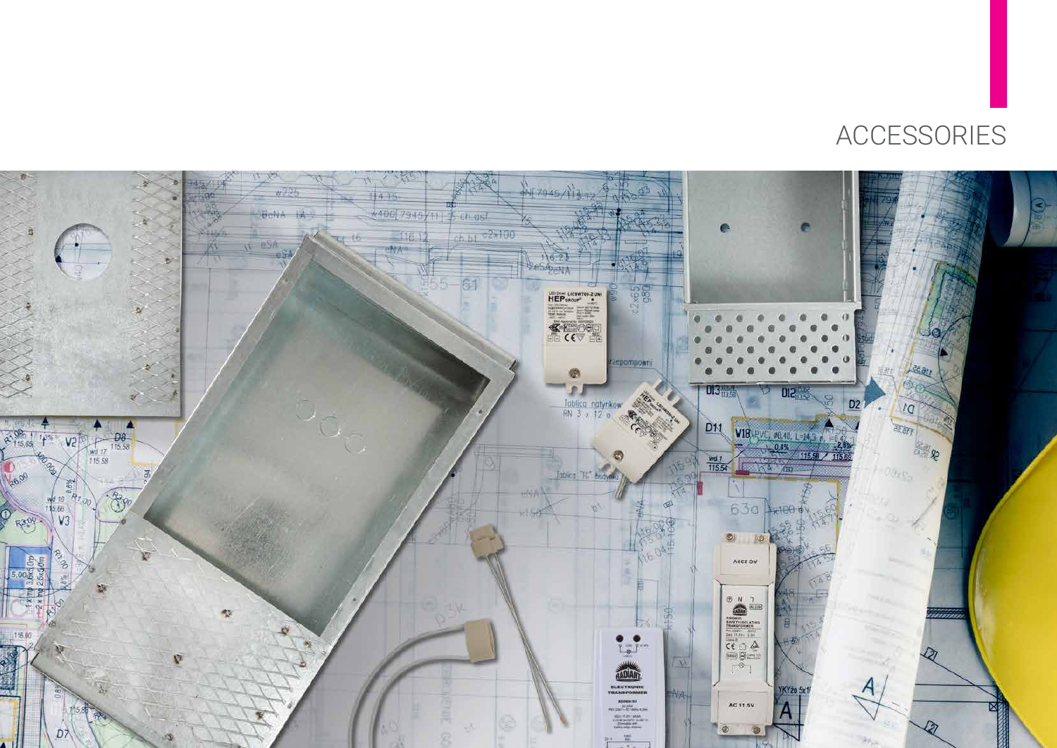

## ACCESSORIES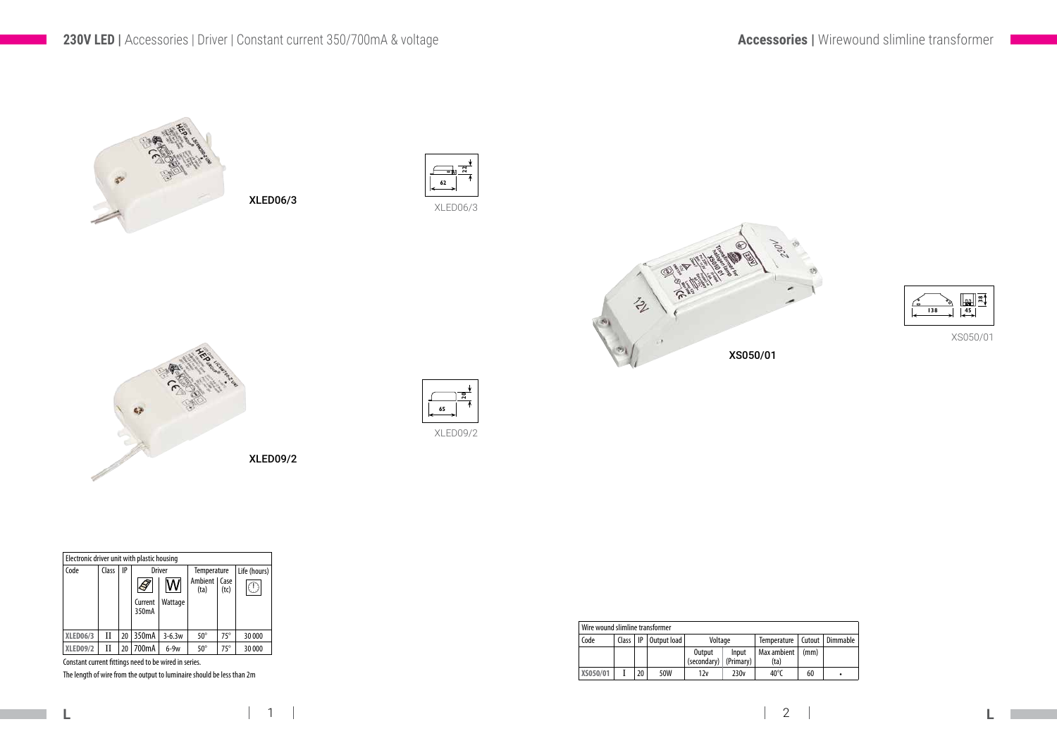**L L**

**XLED06/3** II 20 350mA 3-6.3w 50° 75° 30 000<br>**XLED09/2** II 20 700mA 6-9w 50° 75° 30 000  $XLED09/2$  II 20 700mA 6-9w 50° 75° 30000

Constant current fittings need to be wired in series.



The length of wire from the output to luminaire should be less than 2m

## **Accessories |** Wirewound slimline transformer

| Wire wound slimline transformer |              |    |               |                       |                    |                     |        |          |
|---------------------------------|--------------|----|---------------|-----------------------|--------------------|---------------------|--------|----------|
| Code                            | Class $ $ IP |    | Output load I | Voltage               |                    | <b>Temperature</b>  | Cutout | Dimmable |
|                                 |              |    |               | Output<br>(secondary) | Input<br>(Primary) | Max ambient<br>(ta) | (mm)   |          |
| XS050/01                        |              | 20 | 50W           | 12v                   | 230v               | 40 $^{\circ}$ C     | 60     |          |



XS050/01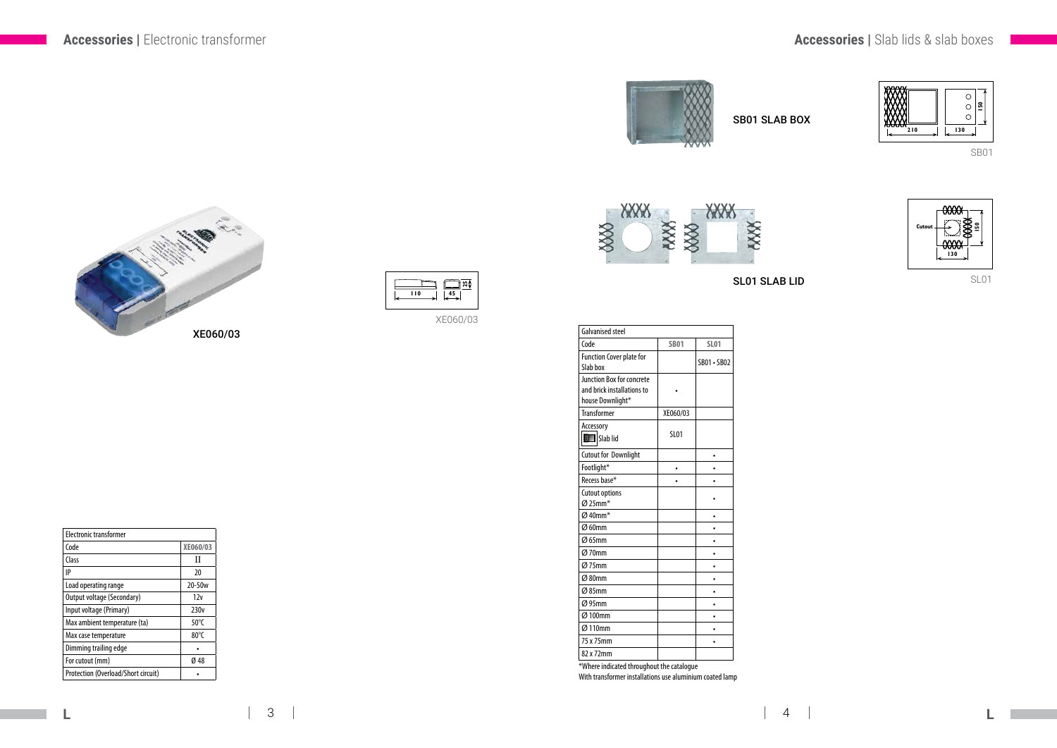## **Accessories |** Electronic transformer **Accessories |** Slab lids & slab boxes

XE060/03



 $\Box$ **25 110 45**

| <b>Flectronic transformer</b> |                  |
|-------------------------------|------------------|
| Code                          | XE060/03         |
| Class                         | Н                |
| IP                            | 20               |
| Load operating range          | 20-50w           |
| Output voltage (Secondary)    | 12v              |
| Input voltage (Primary)       | 230 <sub>v</sub> |
| Max ambient temperature (ta)  | 50 $\degree$ C   |
| Max case temperature          | $80^{\circ}$ C   |
| Dimming trailing edge         |                  |

 $\boxed{\mathsf{For}\ \textsf{cutout}\ (\textsf{mm})}$  6 48 Protection (Overload/Short circuit) •

**L L**  $3 \mid 4$ 



SL01 **150**



| <b>Galvanised steel</b>                                                            |             |             |  |  |
|------------------------------------------------------------------------------------|-------------|-------------|--|--|
| Code                                                                               | <b>SB01</b> | <b>SL01</b> |  |  |
| <b>Function Cover plate for</b><br>Slab box                                        |             | SB01 · SB02 |  |  |
| <b>Junction Box for concrete</b><br>and brick installations to<br>house Downlight* |             |             |  |  |
| <b>Transformer</b>                                                                 | XE060/03    |             |  |  |
| Accessory<br>Slab lid                                                              | <b>SL01</b> |             |  |  |
| <b>Cutout for Downlight</b>                                                        |             |             |  |  |
| Footlight*                                                                         |             |             |  |  |
| Recess base*                                                                       |             |             |  |  |
| <b>Cutout options</b><br>$Ø$ 25mm <sup>*</sup>                                     |             |             |  |  |
| $Ø$ 40mm <sup>*</sup>                                                              |             |             |  |  |
| Ø 60mm                                                                             |             |             |  |  |
| $Ø$ 65mm                                                                           |             |             |  |  |
| $Ø$ 70mm                                                                           |             |             |  |  |
| $Ø$ 75mm                                                                           |             |             |  |  |
| Ø 80mm                                                                             |             |             |  |  |
| $Ø$ 85mm                                                                           |             |             |  |  |
| Ø95mm                                                                              |             |             |  |  |
| Ø 100mm                                                                            |             |             |  |  |
| Ø 110mm                                                                            |             |             |  |  |
| 75 x 75mm                                                                          |             |             |  |  |
| 82 x 72mm                                                                          |             |             |  |  |

\*Where indicated throughout the catalogue With transformer installations use aluminium coated lamp





SB01 SLAB BOX

SL01 SLAB LID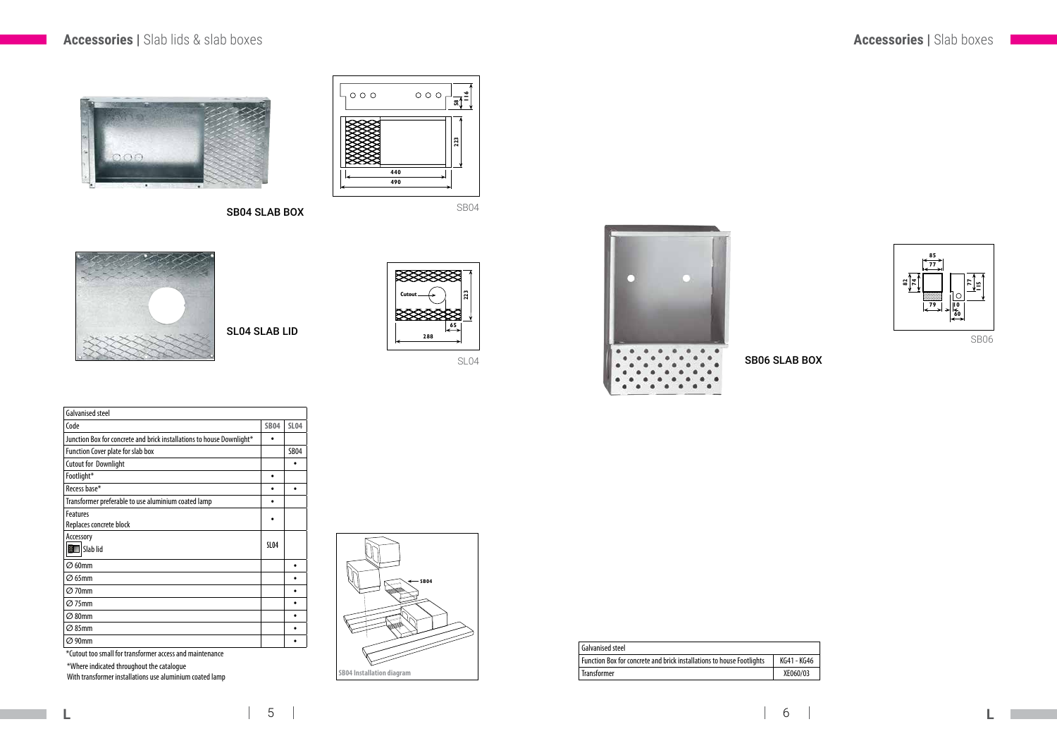## **Accessories |** Slab lids & slab boxes **Accessories |** Slab boxes



| l Galvanised steel                                                    |             |
|-----------------------------------------------------------------------|-------------|
| Function Box for concrete and brick installations to house Footlights | KG41 - KG46 |
| <b>Transformer</b>                                                    | XE060/03    |

SB06





SB04







SL04**223**





\*Where indicated throughout the catalogue

With transformer installations use aluminium coated lamp

| Galvanised steel                                                      |             |             |  |  |
|-----------------------------------------------------------------------|-------------|-------------|--|--|
| Code                                                                  | <b>SB04</b> | <b>SL04</b> |  |  |
| Junction Box for concrete and brick installations to house Downlight* |             |             |  |  |
| Function Cover plate for slab box                                     |             |             |  |  |
| <b>Cutout for Downlight</b>                                           |             |             |  |  |
| Footlight*                                                            |             |             |  |  |
| Recess base*                                                          |             |             |  |  |
| Transformer preferable to use aluminium coated lamp                   |             |             |  |  |
| <b>Features</b>                                                       |             |             |  |  |
| Replaces concrete block                                               |             |             |  |  |
| Accessory                                                             |             |             |  |  |
| SL04<br>Slab lid<br>翷                                                 |             |             |  |  |
| $\varnothing$ 60mm                                                    |             |             |  |  |
| $\varnothing$ 65mm                                                    |             |             |  |  |
| $\varnothing$ 70mm                                                    |             |             |  |  |
| $\varnothing$ 75mm                                                    |             |             |  |  |
| $\varnothing$ 80mm                                                    |             |             |  |  |
| $\varnothing$ 85mm                                                    |             |             |  |  |
| $\varnothing$ 90mm                                                    |             |             |  |  |
| المفتدة والمحامل وبالمراجع                                            |             |             |  |  |

\*Cutout too small for transformer access and maintenance

SB04 SLAB BOX

SB06 SLAB BOX

SL04 SLAB LID